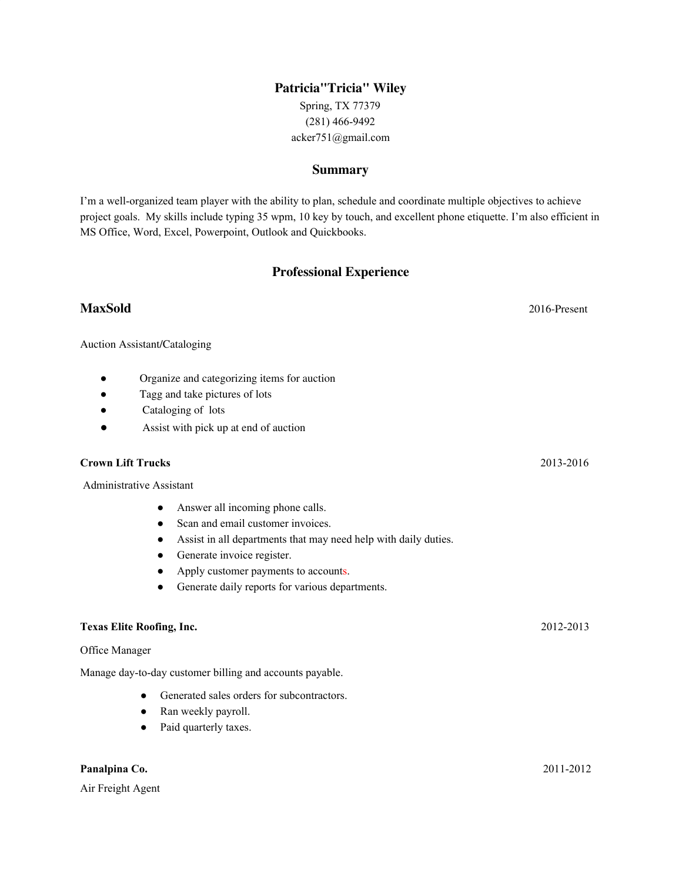# **Patricia"Tricia" Wiley**

Spring, TX 77379 (281) 466-9492 acker751@gmail.com

#### **Summary**

I'm a well-organized team player with the ability to plan, schedule and coordinate multiple objectives to achieve project goals. My skills include typing 35 wpm, 10 key by touch, and excellent phone etiquette. I'm also efficient in MS Office, Word, Excel, Powerpoint, Outlook and Quickbooks.

# **Professional Experience**

# **MaxSold** 2016-Present

Auction Assistant/Cataloging

- Organize and categorizing items for auction
- Tagg and take pictures of lots
- Cataloging of lots
- Assist with pick up at end of auction

### **Crown Lift Trucks** 2013-2016

Administrative Assistant

- Answer all incoming phone calls.
- Scan and email customer invoices.
- Assist in all departments that may need help with daily duties.
- Generate invoice register.
- Apply customer payments to accounts.
- Generate daily reports for various departments.

### **Texas Elite Roofing, Inc.** 2012-2013

Office Manager

Manage day-to-day customer billing and accounts payable.

- Generated sales orders for subcontractors.
- Ran weekly payroll.
- Paid quarterly taxes.

#### **Panalpina Co.** 2011-2012

Air Freight Agent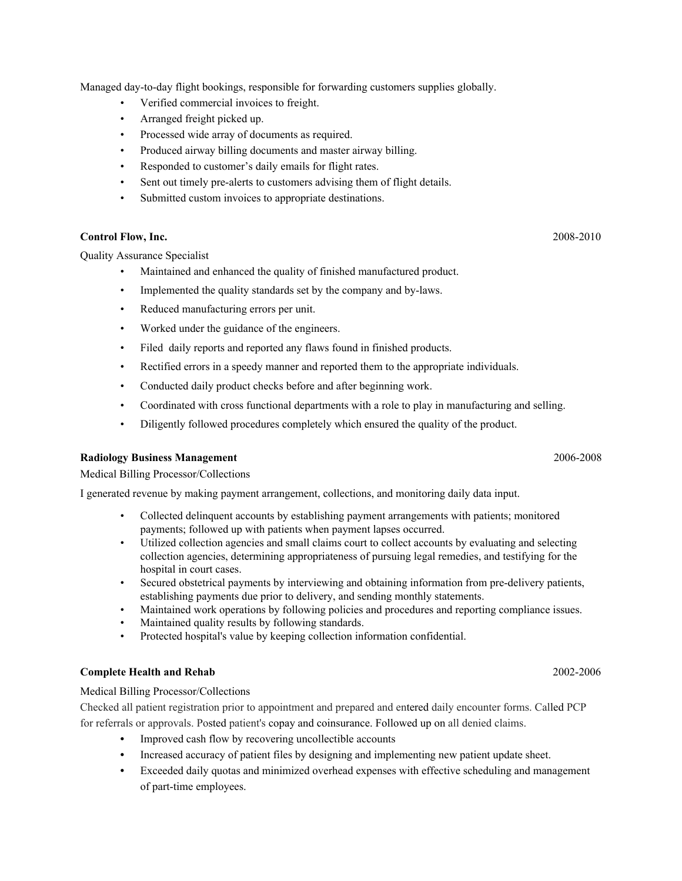Managed day-to-day flight bookings, responsible for forwarding customers supplies globally.

- Verified commercial invoices to freight.
- Arranged freight picked up.
- Processed wide array of documents as required.
- Produced airway billing documents and master airway billing.
- Responded to customer's daily emails for flight rates.
- Sent out timely pre-alerts to customers advising them of flight details.
- Submitted custom invoices to appropriate destinations.

#### **Control Flow, Inc.** 2008-2010

Quality Assurance Specialist

- Maintained and enhanced the quality of finished manufactured product.
- Implemented the quality standards set by the company and by-laws.
- Reduced manufacturing errors per unit.
- Worked under the guidance of the engineers.
- Filed daily reports and reported any flaws found in finished products.
- Rectified errors in a speedy manner and reported them to the appropriate individuals.
- Conducted daily product checks before and after beginning work.
- Coordinated with cross functional departments with a role to play in manufacturing and selling.
- Diligently followed procedures completely which ensured the quality of the product.

### **Radiology Business Management** 2006-2008

Medical Billing Processor/Collections

I generated revenue by making payment arrangement, collections, and monitoring daily data input.

- Collected delinquent accounts by establishing payment arrangements with patients; monitored payments; followed up with patients when payment lapses occurred.
- Utilized collection agencies and small claims court to collect accounts by evaluating and selecting collection agencies, determining appropriateness of pursuing legal remedies, and testifying for the hospital in court cases.
- Secured obstetrical payments by interviewing and obtaining information from pre-delivery patients, establishing payments due prior to delivery, and sending monthly statements.
- Maintained work operations by following policies and procedures and reporting compliance issues.
- Maintained quality results by following standards.
- Protected hospital's value by keeping collection information confidential.

# **Complete Health and Rehab** 2002-2006

# Medical Billing Processor/Collections

Checked all patient registration prior to appointment and prepared and entered daily encounter forms. Called PCP for referrals or approvals. Posted patient's copay and coinsurance. Followed up on all denied claims.

- **•** Improved cash flow by recovering uncollectible accounts
- Increased accuracy of patient files by designing and implementing new patient update sheet.
- **•** Exceeded daily quotas and minimized overhead expenses with effective scheduling and management of part-time employees.